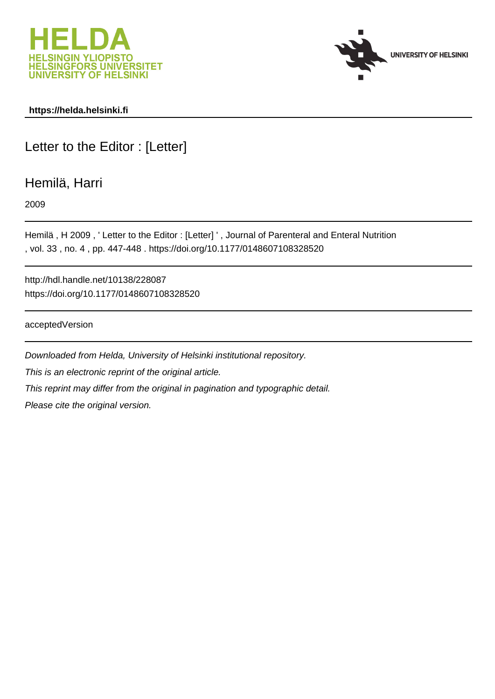



### **https://helda.helsinki.fi**

# Letter to the Editor : [Letter]

## Hemilä, Harri

2009

Hemilä , H 2009 , ' Letter to the Editor : [Letter] ' , Journal of Parenteral and Enteral Nutrition , vol. 33 , no. 4 , pp. 447-448 . https://doi.org/10.1177/0148607108328520

http://hdl.handle.net/10138/228087 https://doi.org/10.1177/0148607108328520

acceptedVersion

Downloaded from Helda, University of Helsinki institutional repository. This is an electronic reprint of the original article. This reprint may differ from the original in pagination and typographic detail. Please cite the original version.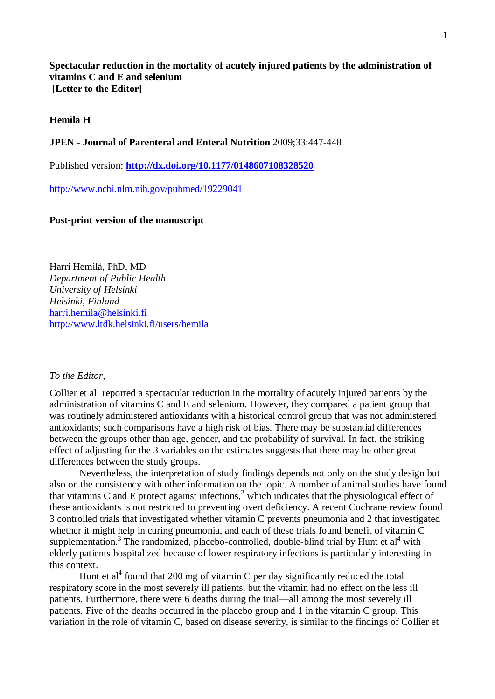**Spectacular reduction in the mortality of acutely injured patients by the administration of vitamins C and E and selenium [Letter to the Editor]** 

#### **Hemilä H**

#### **JPEN - Journal of Parenteral and Enteral Nutrition** 2009;33:447-448

Published version: **http://dx.doi.org/10.1177/0148607108328520**

http://www.ncbi.nlm.nih.gov/pubmed/19229041

#### **Post-print version of the manuscript**

Harri Hemilä, PhD, MD *Department of Public Health University of Helsinki Helsinki, Finland* harri.hemila@helsinki.fi http://www.ltdk.helsinki.fi/users/hemila

#### *To the Editor,*

Collier et al<sup>1</sup> reported a spectacular reduction in the mortality of acutely injured patients by the administration of vitamins C and E and selenium. However, they compared a patient group that was routinely administered antioxidants with a historical control group that was not administered antioxidants; such comparisons have a high risk of bias. There may be substantial differences between the groups other than age, gender, and the probability of survival. In fact, the striking effect of adjusting for the 3 variables on the estimates suggests that there may be other great differences between the study groups.

Nevertheless, the interpretation of study findings depends not only on the study design but also on the consistency with other information on the topic. A number of animal studies have found that vitamins C and E protect against infections,<sup>2</sup> which indicates that the physiological effect of these antioxidants is not restricted to preventing overt deficiency. A recent Cochrane review found 3 controlled trials that investigated whether vitamin C prevents pneumonia and 2 that investigated whether it might help in curing pneumonia, and each of these trials found benefit of vitamin C supplementation.<sup>3</sup> The randomized, placebo-controlled, double-blind trial by Hunt et al<sup>4</sup> with elderly patients hospitalized because of lower respiratory infections is particularly interesting in this context.

Hunt et al<sup>4</sup> found that 200 mg of vitamin C per day significantly reduced the total respiratory score in the most severely ill patients, but the vitamin had no effect on the less ill patients. Furthermore, there were 6 deaths during the trial—all among the most severely ill patients. Five of the deaths occurred in the placebo group and 1 in the vitamin C group. This variation in the role of vitamin C, based on disease severity, is similar to the findings of Collier et